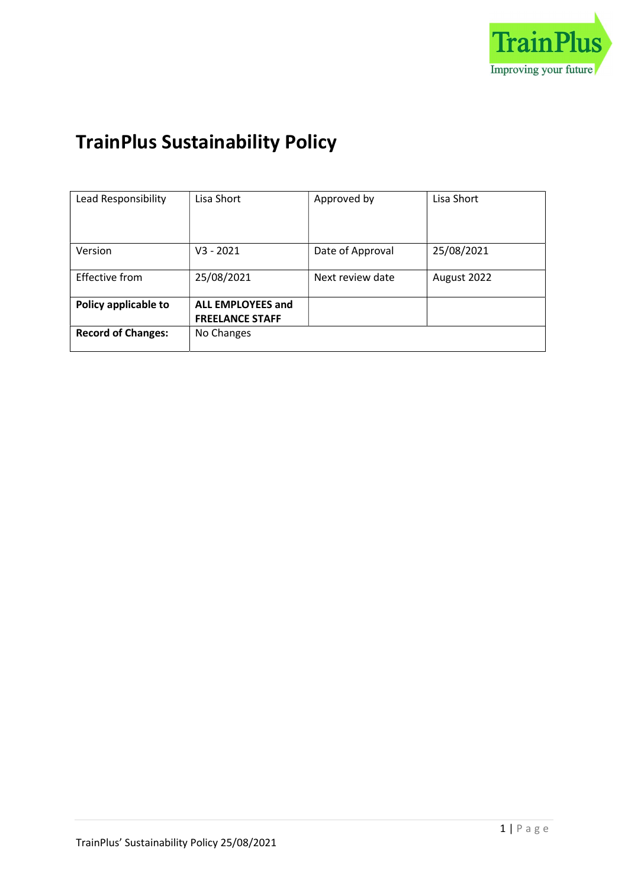

# TrainPlus Sustainability Policy

| Lead Responsibility       | Lisa Short               | Approved by      | Lisa Short  |
|---------------------------|--------------------------|------------------|-------------|
|                           |                          |                  |             |
|                           |                          |                  |             |
| Version                   | $V3 - 2021$              | Date of Approval | 25/08/2021  |
|                           |                          |                  |             |
| Effective from            | 25/08/2021               | Next review date | August 2022 |
|                           |                          |                  |             |
| Policy applicable to      | <b>ALL EMPLOYEES and</b> |                  |             |
|                           | <b>FREELANCE STAFF</b>   |                  |             |
| <b>Record of Changes:</b> | No Changes               |                  |             |
|                           |                          |                  |             |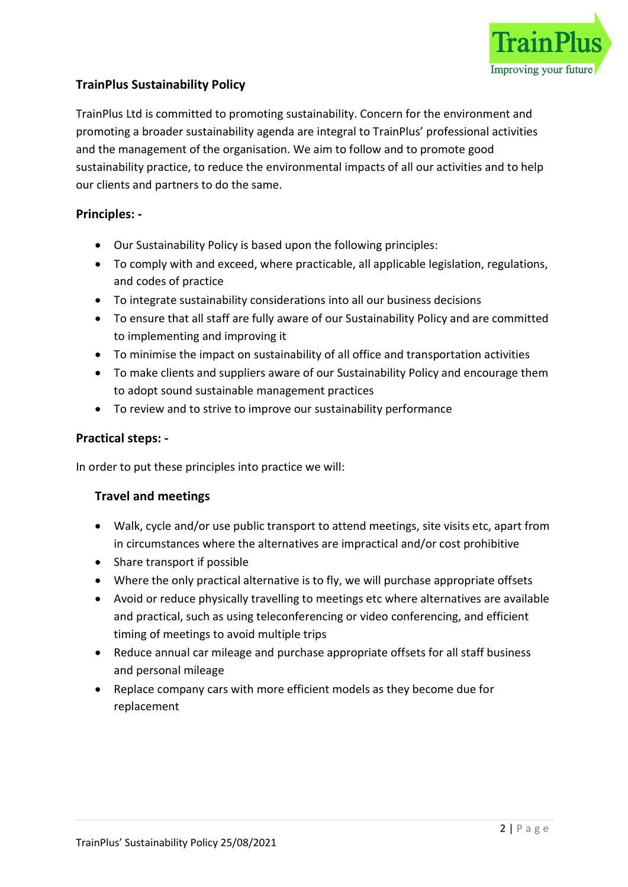

# TrainPlus Sustainability Policy

TrainPlus Ltd is committed to promoting sustainability. Concern for the environment and promoting a broader sustainability agenda are integral to TrainPlus' professional activities and the management of the organisation. We aim to follow and to promote good sustainability practice, to reduce the environmental impacts of all our activities and to help our clients and partners to do the same.

## Principles: -

- Our Sustainability Policy is based upon the following principles:
- To comply with and exceed, where practicable, all applicable legislation, regulations, and codes of practice
- To integrate sustainability considerations into all our business decisions
- To ensure that all staff are fully aware of our Sustainability Policy and are committed to implementing and improving it
- To minimise the impact on sustainability of all office and transportation activities
- To make clients and suppliers aware of our Sustainability Policy and encourage them to adopt sound sustainable management practices
- To review and to strive to improve our sustainability performance

#### Practical steps: -

In order to put these principles into practice we will:

#### Travel and meetings

- Walk, cycle and/or use public transport to attend meetings, site visits etc, apart from in circumstances where the alternatives are impractical and/or cost prohibitive
- Share transport if possible
- Where the only practical alternative is to fly, we will purchase appropriate offsets
- Avoid or reduce physically travelling to meetings etc where alternatives are available and practical, such as using teleconferencing or video conferencing, and efficient timing of meetings to avoid multiple trips
- Reduce annual car mileage and purchase appropriate offsets for all staff business and personal mileage
- Replace company cars with more efficient models as they become due for replacement